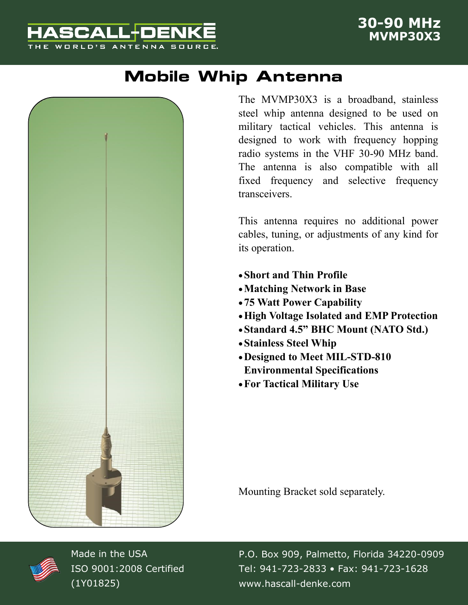## **ASCALL+DEN** THE WORLD'S ANTENNA SOURCE.

## **Mobile Whip Antenna**



The MVMP30X3 is a broadband, stainless steel whip antenna designed to be used on military tactical vehicles. This antenna is designed to work with frequency hopping radio systems in the VHF 30-90 MHz band. The antenna is also compatible with all fixed frequency and selective frequency transceivers.

This antenna requires no additional power cables, tuning, or adjustments of any kind for its operation.

- **Short and Thin Profile**
- **Matching Network in Base**
- **75 Watt Power Capability**
- **High Voltage Isolated and EMP Protection**
- **Standard 4.5" BHC Mount (NATO Std.)**
- **Stainless Steel Whip**
- **Designed to Meet MIL-STD-810 Environmental Specifications**
- **For Tactical Military Use**

Mounting Bracket sold separately.



Made in the USA ISO 9001:2008 Certified (1Y01825)

P.O. Box 909, Palmetto, Florida 34220-0909 Tel: 941-723-2833 • Fax: 941-723-1628 www.hascall-denke.com